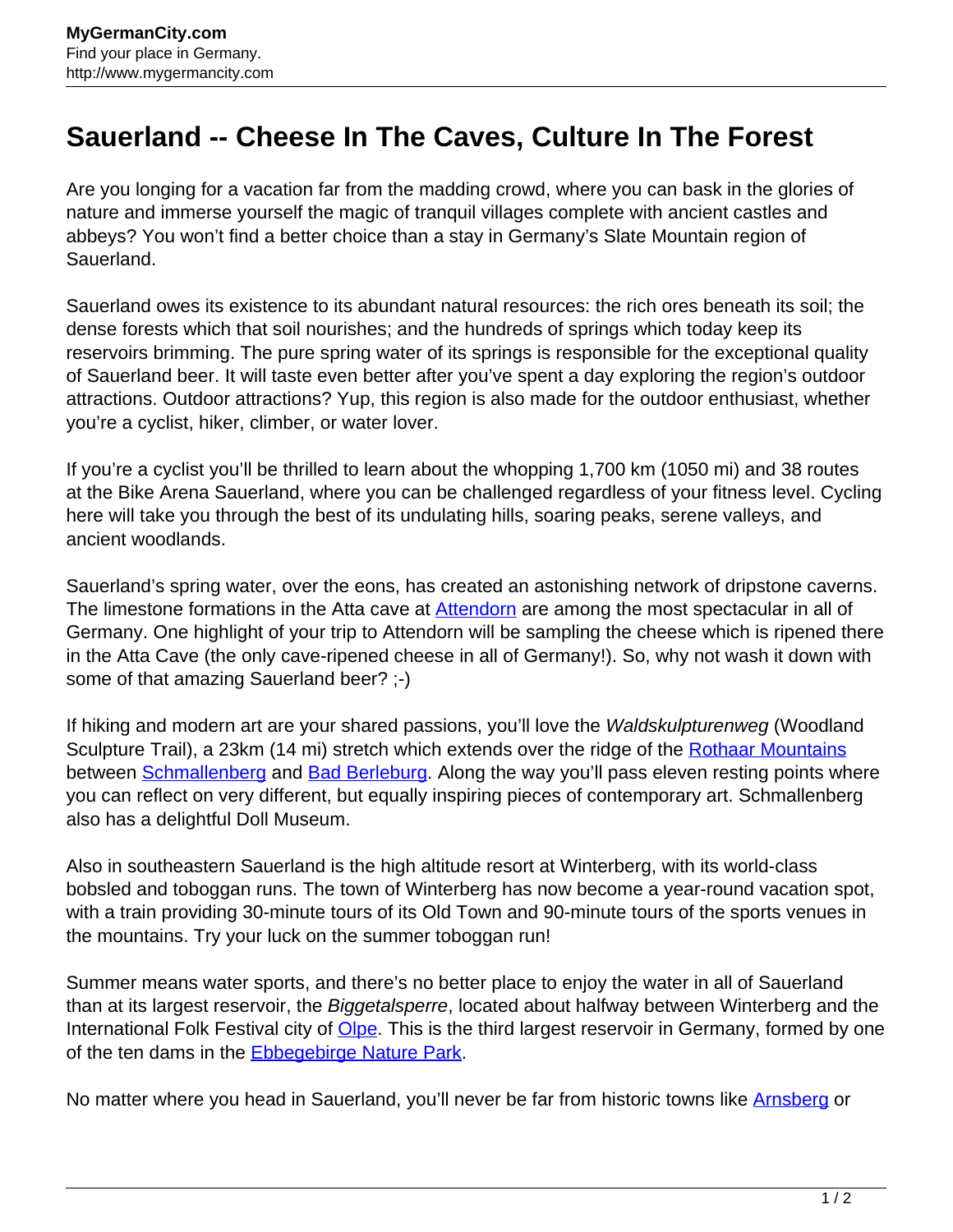## **Sauerland -- Cheese In The Caves, Culture In The Forest**

Are you longing for a vacation far from the madding crowd, where you can bask in the glories of nature and immerse yourself the magic of tranquil villages complete with ancient castles and abbeys? You won't find a better choice than a stay in Germany's Slate Mountain region of Sauerland.

Sauerland owes its existence to its abundant natural resources: the rich ores beneath its soil; the dense forests which that soil nourishes; and the hundreds of springs which today keep its reservoirs brimming. The pure spring water of its springs is responsible for the exceptional quality of Sauerland beer. It will taste even better after you've spent a day exploring the region's outdoor attractions. Outdoor attractions? Yup, this region is also made for the outdoor enthusiast, whether you're a cyclist, hiker, climber, or water lover.

If you're a cyclist you'll be thrilled to learn about the whopping 1,700 km (1050 mi) and 38 routes at the Bike Arena Sauerland, where you can be challenged regardless of your fitness level. Cycling here will take you through the best of its undulating hills, soaring peaks, serene valleys, and ancient woodlands.

Sauerland's spring water, over the eons, has created an astonishing network of dripstone caverns. The limestone formations in the Atta cave at **Attendorn** are among the most spectacular in all of Germany. One highlight of your trip to Attendorn will be sampling the cheese which is ripened there in the Atta Cave (the only cave-ripened cheese in all of Germany!). So, why not wash it down with some of that amazing Sauerland beer? ;-)

If hiking and modern art are your shared passions, you'll love the Waldskulpturenweg (Woodland Sculpture Trail), a 23km (14 mi) stretch which extends over the ridge of the [Rothaar Mountains](http://www.mygermancity.com/rothaargebirge) between [Schmallenberg](http://www.mygermancity.com/schmallenberg) and [Bad Berleburg.](http://www.mygermancity.com/bad-berleburg) Along the way you'll pass eleven resting points where you can reflect on very different, but equally inspiring pieces of contemporary art. Schmallenberg also has a delightful Doll Museum.

Also in southeastern Sauerland is the high altitude resort at Winterberg, with its world-class bobsled and toboggan runs. The town of Winterberg has now become a year-round vacation spot, with a train providing 30-minute tours of its Old Town and 90-minute tours of the sports venues in the mountains. Try your luck on the summer toboggan run!

Summer means water sports, and there's no better place to enjoy the water in all of Sauerland than at its largest reservoir, the Biggetalsperre, located about halfway between Winterberg and the International Folk Festival city of **Olpe**. This is the third largest reservoir in Germany, formed by one of the ten dams in the **Ebbegebirge Nature Park.** 

No matter where you head in Sauerland, you'll never be far from historic towns like [Arnsberg](http://www.mygermancity.com/arnsberg) or